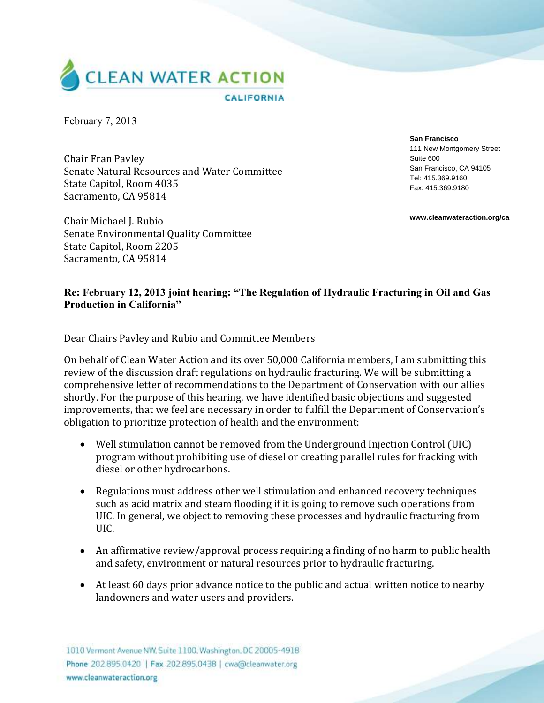

February 7, 2013

Chair Fran Pavley Senate Natural Resources and Water Committee State Capitol, Room 4035 Sacramento, CA 95814

**San Francisco** 111 New Montgomery Street Suite 600 San Francisco, CA 94105 Tel: 415.369.9160 Fax: 415.369.9180

**www.cleanwateraction.org/ca**

Chair Michael J. Rubio Senate Environmental Quality Committee State Capitol, Room 2205 Sacramento, CA 95814

## **Re: February 12, 2013 joint hearing: "The Regulation of Hydraulic Fracturing in Oil and Gas Production in California"**

Dear Chairs Pavley and Rubio and Committee Members

On behalf of Clean Water Action and its over 50,000 California members, I am submitting this review of the discussion draft regulations on hydraulic fracturing. We will be submitting a comprehensive letter of recommendations to the Department of Conservation with our allies shortly. For the purpose of this hearing, we have identified basic objections and suggested improvements, that we feel are necessary in order to fulfill the Department of Conservation's obligation to prioritize protection of health and the environment:

- Well stimulation cannot be removed from the Underground Injection Control (UIC) program without prohibiting use of diesel or creating parallel rules for fracking with diesel or other hydrocarbons.
- Regulations must address other well stimulation and enhanced recovery techniques such as acid matrix and steam flooding if it is going to remove such operations from UIC. In general, we object to removing these processes and hydraulic fracturing from UIC.
- An affirmative review/approval process requiring a finding of no harm to public health and safety, environment or natural resources prior to hydraulic fracturing.
- At least 60 days prior advance notice to the public and actual written notice to nearby landowners and water users and providers.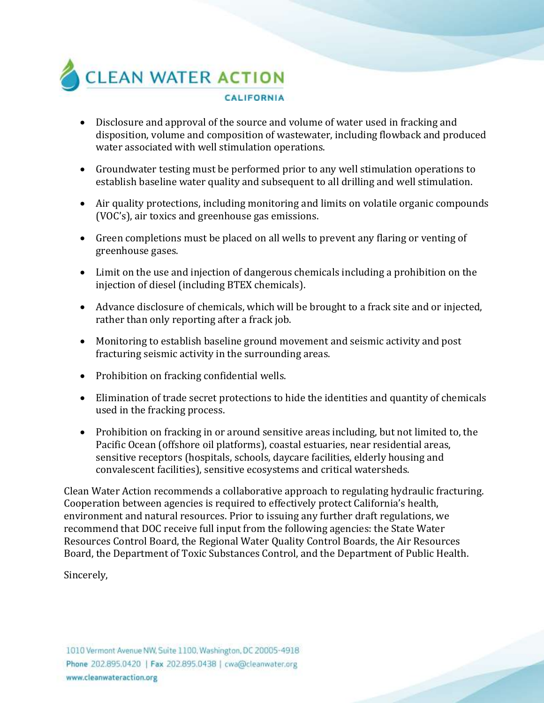

- Disclosure and approval of the source and volume of water used in fracking and disposition, volume and composition of wastewater, including flowback and produced water associated with well stimulation operations.
- Groundwater testing must be performed prior to any well stimulation operations to establish baseline water quality and subsequent to all drilling and well stimulation.
- Air quality protections, including monitoring and limits on volatile organic compounds (VOC's), air toxics and greenhouse gas emissions.
- Green completions must be placed on all wells to prevent any flaring or venting of greenhouse gases.
- Limit on the use and injection of dangerous chemicals including a prohibition on the injection of diesel (including BTEX chemicals).
- Advance disclosure of chemicals, which will be brought to a frack site and or injected, rather than only reporting after a frack job.
- Monitoring to establish baseline ground movement and seismic activity and post fracturing seismic activity in the surrounding areas.
- Prohibition on fracking confidential wells.
- Elimination of trade secret protections to hide the identities and quantity of chemicals used in the fracking process.
- Prohibition on fracking in or around sensitive areas including, but not limited to, the Pacific Ocean (offshore oil platforms), coastal estuaries, near residential areas, sensitive receptors (hospitals, schools, daycare facilities, elderly housing and convalescent facilities), sensitive ecosystems and critical watersheds.

Clean Water Action recommends a collaborative approach to regulating hydraulic fracturing. Cooperation between agencies is required to effectively protect California's health, environment and natural resources. Prior to issuing any further draft regulations, we recommend that DOC receive full input from the following agencies: the State Water Resources Control Board, the Regional Water Quality Control Boards, the Air Resources Board, the Department of Toxic Substances Control, and the Department of Public Health.

Sincerely,